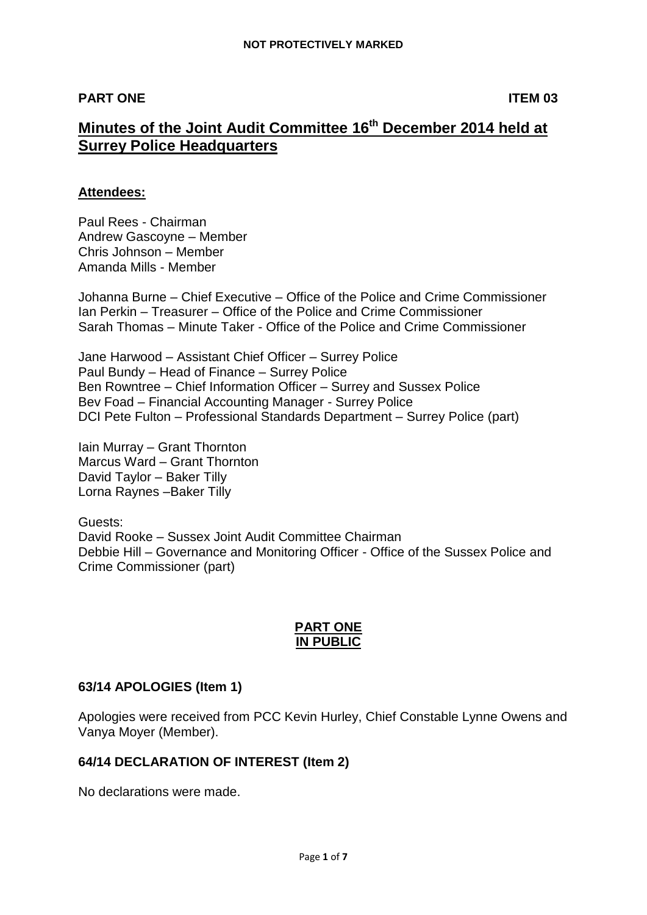## **PART ONE ITEM 03**

# **Minutes of the Joint Audit Committee 16th December 2014 held at Surrey Police Headquarters**

#### **Attendees:**

Paul Rees - Chairman Andrew Gascoyne – Member Chris Johnson – Member Amanda Mills - Member

Johanna Burne – Chief Executive – Office of the Police and Crime Commissioner Ian Perkin – Treasurer – Office of the Police and Crime Commissioner Sarah Thomas – Minute Taker - Office of the Police and Crime Commissioner

Jane Harwood – Assistant Chief Officer – Surrey Police Paul Bundy – Head of Finance – Surrey Police Ben Rowntree – Chief Information Officer – Surrey and Sussex Police Bev Foad – Financial Accounting Manager - Surrey Police DCI Pete Fulton – Professional Standards Department – Surrey Police (part)

Iain Murray – Grant Thornton Marcus Ward – Grant Thornton David Taylor – Baker Tilly Lorna Raynes –Baker Tilly

Guests: David Rooke – Sussex Joint Audit Committee Chairman Debbie Hill – Governance and Monitoring Officer - Office of the Sussex Police and Crime Commissioner (part)

#### **PART ONE IN PUBLIC**

# **63/14 APOLOGIES (Item 1)**

Apologies were received from PCC Kevin Hurley, Chief Constable Lynne Owens and Vanya Moyer (Member).

#### **64/14 DECLARATION OF INTEREST (Item 2)**

No declarations were made.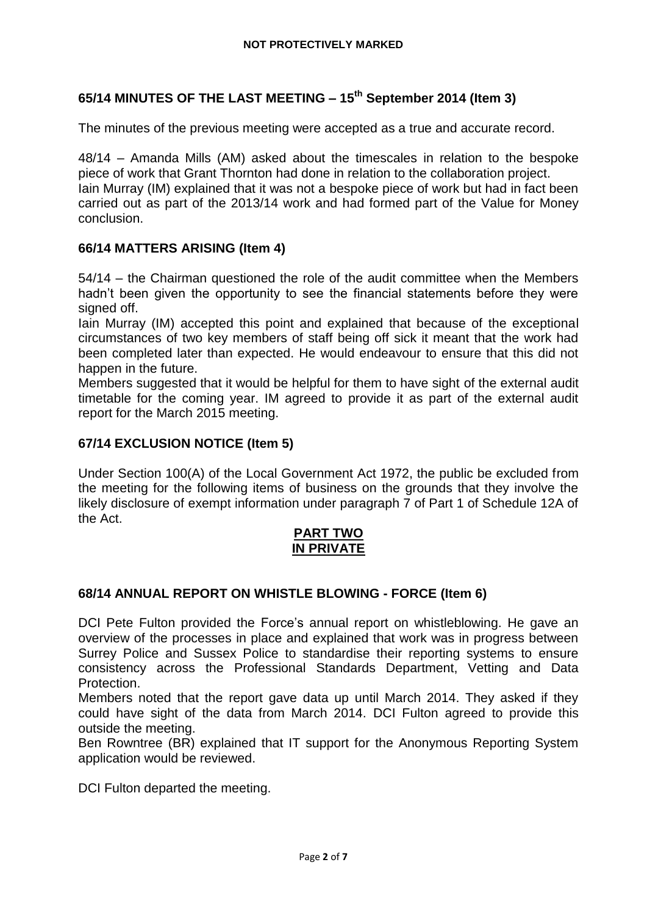# **65/14 MINUTES OF THE LAST MEETING – 15th September 2014 (Item 3)**

The minutes of the previous meeting were accepted as a true and accurate record.

48/14 – Amanda Mills (AM) asked about the timescales in relation to the bespoke piece of work that Grant Thornton had done in relation to the collaboration project. Iain Murray (IM) explained that it was not a bespoke piece of work but had in fact been carried out as part of the 2013/14 work and had formed part of the Value for Money conclusion.

#### **66/14 MATTERS ARISING (Item 4)**

54/14 – the Chairman questioned the role of the audit committee when the Members hadn't been given the opportunity to see the financial statements before they were signed off.

Iain Murray (IM) accepted this point and explained that because of the exceptional circumstances of two key members of staff being off sick it meant that the work had been completed later than expected. He would endeavour to ensure that this did not happen in the future.

Members suggested that it would be helpful for them to have sight of the external audit timetable for the coming year. IM agreed to provide it as part of the external audit report for the March 2015 meeting.

#### **67/14 EXCLUSION NOTICE (Item 5)**

Under Section 100(A) of the Local Government Act 1972, the public be excluded from the meeting for the following items of business on the grounds that they involve the likely disclosure of exempt information under paragraph 7 of Part 1 of Schedule 12A of the Act.

#### **PART TWO IN PRIVATE**

#### **68/14 ANNUAL REPORT ON WHISTLE BLOWING - FORCE (Item 6)**

DCI Pete Fulton provided the Force's annual report on whistleblowing. He gave an overview of the processes in place and explained that work was in progress between Surrey Police and Sussex Police to standardise their reporting systems to ensure consistency across the Professional Standards Department, Vetting and Data Protection.

Members noted that the report gave data up until March 2014. They asked if they could have sight of the data from March 2014. DCI Fulton agreed to provide this outside the meeting.

Ben Rowntree (BR) explained that IT support for the Anonymous Reporting System application would be reviewed.

DCI Fulton departed the meeting.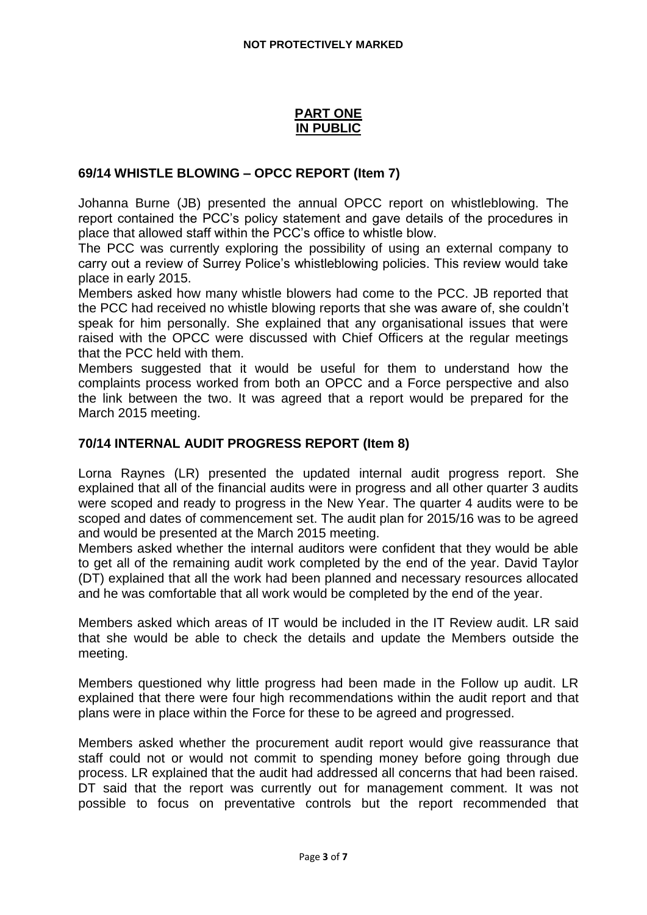## **PART ONE IN PUBLIC**

### **69/14 WHISTLE BLOWING – OPCC REPORT (Item 7)**

Johanna Burne (JB) presented the annual OPCC report on whistleblowing. The report contained the PCC's policy statement and gave details of the procedures in place that allowed staff within the PCC's office to whistle blow.

The PCC was currently exploring the possibility of using an external company to carry out a review of Surrey Police's whistleblowing policies. This review would take place in early 2015.

Members asked how many whistle blowers had come to the PCC. JB reported that the PCC had received no whistle blowing reports that she was aware of, she couldn't speak for him personally. She explained that any organisational issues that were raised with the OPCC were discussed with Chief Officers at the regular meetings that the PCC held with them.

Members suggested that it would be useful for them to understand how the complaints process worked from both an OPCC and a Force perspective and also the link between the two. It was agreed that a report would be prepared for the March 2015 meeting.

## **70/14 INTERNAL AUDIT PROGRESS REPORT (Item 8)**

Lorna Raynes (LR) presented the updated internal audit progress report. She explained that all of the financial audits were in progress and all other quarter 3 audits were scoped and ready to progress in the New Year. The quarter 4 audits were to be scoped and dates of commencement set. The audit plan for 2015/16 was to be agreed and would be presented at the March 2015 meeting.

Members asked whether the internal auditors were confident that they would be able to get all of the remaining audit work completed by the end of the year. David Taylor (DT) explained that all the work had been planned and necessary resources allocated and he was comfortable that all work would be completed by the end of the year.

Members asked which areas of IT would be included in the IT Review audit. LR said that she would be able to check the details and update the Members outside the meeting.

Members questioned why little progress had been made in the Follow up audit. LR explained that there were four high recommendations within the audit report and that plans were in place within the Force for these to be agreed and progressed.

Members asked whether the procurement audit report would give reassurance that staff could not or would not commit to spending money before going through due process. LR explained that the audit had addressed all concerns that had been raised. DT said that the report was currently out for management comment. It was not possible to focus on preventative controls but the report recommended that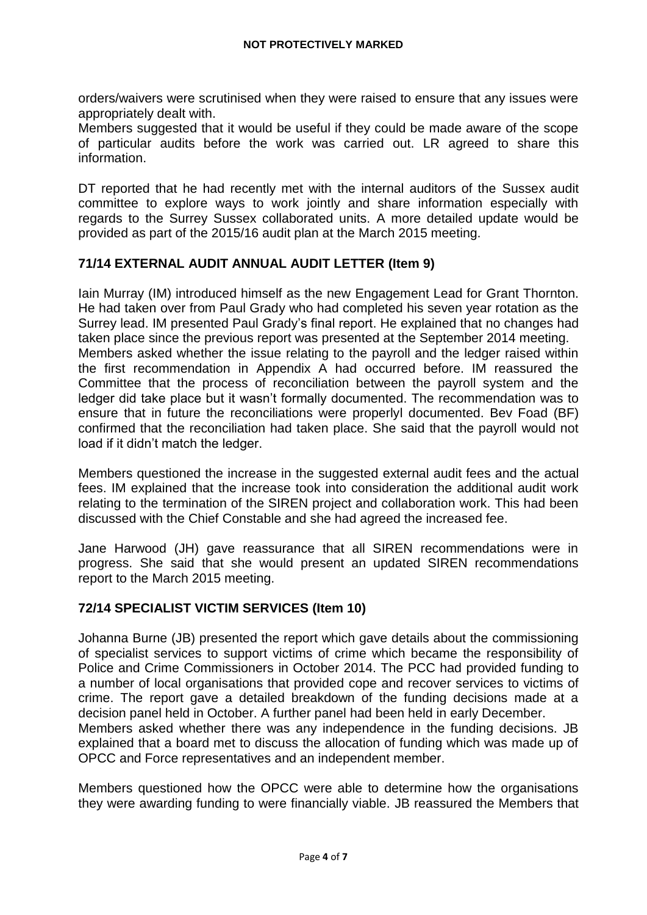orders/waivers were scrutinised when they were raised to ensure that any issues were appropriately dealt with.

Members suggested that it would be useful if they could be made aware of the scope of particular audits before the work was carried out. LR agreed to share this information.

DT reported that he had recently met with the internal auditors of the Sussex audit committee to explore ways to work jointly and share information especially with regards to the Surrey Sussex collaborated units. A more detailed update would be provided as part of the 2015/16 audit plan at the March 2015 meeting.

## **71/14 EXTERNAL AUDIT ANNUAL AUDIT LETTER (Item 9)**

Iain Murray (IM) introduced himself as the new Engagement Lead for Grant Thornton. He had taken over from Paul Grady who had completed his seven year rotation as the Surrey lead. IM presented Paul Grady's final report. He explained that no changes had taken place since the previous report was presented at the September 2014 meeting. Members asked whether the issue relating to the payroll and the ledger raised within the first recommendation in Appendix A had occurred before. IM reassured the Committee that the process of reconciliation between the payroll system and the ledger did take place but it wasn't formally documented. The recommendation was to ensure that in future the reconciliations were properlyl documented. Bev Foad (BF) confirmed that the reconciliation had taken place. She said that the payroll would not load if it didn't match the ledger.

Members questioned the increase in the suggested external audit fees and the actual fees. IM explained that the increase took into consideration the additional audit work relating to the termination of the SIREN project and collaboration work. This had been discussed with the Chief Constable and she had agreed the increased fee.

Jane Harwood (JH) gave reassurance that all SIREN recommendations were in progress. She said that she would present an updated SIREN recommendations report to the March 2015 meeting.

#### **72/14 SPECIALIST VICTIM SERVICES (Item 10)**

Johanna Burne (JB) presented the report which gave details about the commissioning of specialist services to support victims of crime which became the responsibility of Police and Crime Commissioners in October 2014. The PCC had provided funding to a number of local organisations that provided cope and recover services to victims of crime. The report gave a detailed breakdown of the funding decisions made at a decision panel held in October. A further panel had been held in early December. Members asked whether there was any independence in the funding decisions. JB explained that a board met to discuss the allocation of funding which was made up of OPCC and Force representatives and an independent member.

Members questioned how the OPCC were able to determine how the organisations they were awarding funding to were financially viable. JB reassured the Members that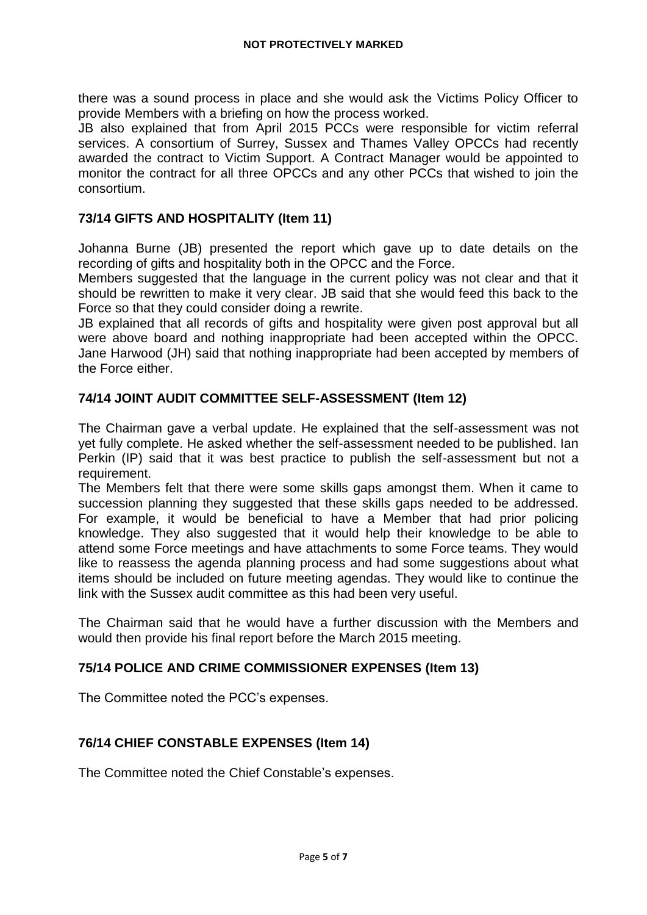there was a sound process in place and she would ask the Victims Policy Officer to provide Members with a briefing on how the process worked.

JB also explained that from April 2015 PCCs were responsible for victim referral services. A consortium of Surrey, Sussex and Thames Valley OPCCs had recently awarded the contract to Victim Support. A Contract Manager would be appointed to monitor the contract for all three OPCCs and any other PCCs that wished to join the consortium.

## **73/14 GIFTS AND HOSPITALITY (Item 11)**

Johanna Burne (JB) presented the report which gave up to date details on the recording of gifts and hospitality both in the OPCC and the Force.

Members suggested that the language in the current policy was not clear and that it should be rewritten to make it very clear. JB said that she would feed this back to the Force so that they could consider doing a rewrite.

JB explained that all records of gifts and hospitality were given post approval but all were above board and nothing inappropriate had been accepted within the OPCC. Jane Harwood (JH) said that nothing inappropriate had been accepted by members of the Force either.

## **74/14 JOINT AUDIT COMMITTEE SELF-ASSESSMENT (Item 12)**

The Chairman gave a verbal update. He explained that the self-assessment was not yet fully complete. He asked whether the self-assessment needed to be published. Ian Perkin (IP) said that it was best practice to publish the self-assessment but not a requirement.

The Members felt that there were some skills gaps amongst them. When it came to succession planning they suggested that these skills gaps needed to be addressed. For example, it would be beneficial to have a Member that had prior policing knowledge. They also suggested that it would help their knowledge to be able to attend some Force meetings and have attachments to some Force teams. They would like to reassess the agenda planning process and had some suggestions about what items should be included on future meeting agendas. They would like to continue the link with the Sussex audit committee as this had been very useful.

The Chairman said that he would have a further discussion with the Members and would then provide his final report before the March 2015 meeting.

#### **75/14 POLICE AND CRIME COMMISSIONER EXPENSES (Item 13)**

The Committee noted the PCC's expenses.

# **76/14 CHIEF CONSTABLE EXPENSES (Item 14)**

The Committee noted the Chief Constable's expenses.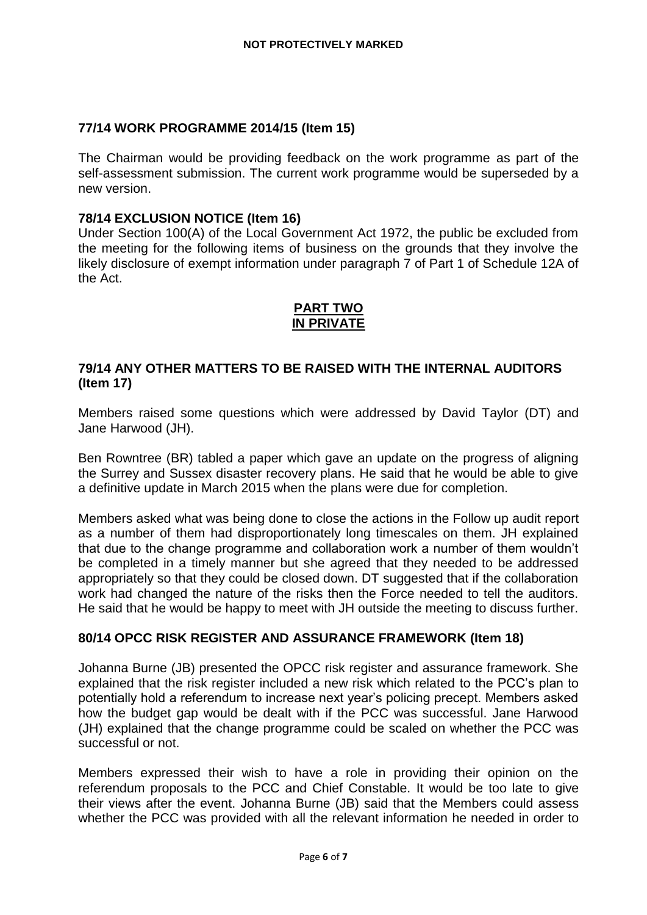# **77/14 WORK PROGRAMME 2014/15 (Item 15)**

The Chairman would be providing feedback on the work programme as part of the self-assessment submission. The current work programme would be superseded by a new version.

#### **78/14 EXCLUSION NOTICE (Item 16)**

Under Section 100(A) of the Local Government Act 1972, the public be excluded from the meeting for the following items of business on the grounds that they involve the likely disclosure of exempt information under paragraph 7 of Part 1 of Schedule 12A of the Act.

### **PART TWO IN PRIVATE**

### **79/14 ANY OTHER MATTERS TO BE RAISED WITH THE INTERNAL AUDITORS (Item 17)**

Members raised some questions which were addressed by David Taylor (DT) and Jane Harwood (JH).

Ben Rowntree (BR) tabled a paper which gave an update on the progress of aligning the Surrey and Sussex disaster recovery plans. He said that he would be able to give a definitive update in March 2015 when the plans were due for completion.

Members asked what was being done to close the actions in the Follow up audit report as a number of them had disproportionately long timescales on them. JH explained that due to the change programme and collaboration work a number of them wouldn't be completed in a timely manner but she agreed that they needed to be addressed appropriately so that they could be closed down. DT suggested that if the collaboration work had changed the nature of the risks then the Force needed to tell the auditors. He said that he would be happy to meet with JH outside the meeting to discuss further.

#### **80/14 OPCC RISK REGISTER AND ASSURANCE FRAMEWORK (Item 18)**

Johanna Burne (JB) presented the OPCC risk register and assurance framework. She explained that the risk register included a new risk which related to the PCC's plan to potentially hold a referendum to increase next year's policing precept. Members asked how the budget gap would be dealt with if the PCC was successful. Jane Harwood (JH) explained that the change programme could be scaled on whether the PCC was successful or not.

Members expressed their wish to have a role in providing their opinion on the referendum proposals to the PCC and Chief Constable. It would be too late to give their views after the event. Johanna Burne (JB) said that the Members could assess whether the PCC was provided with all the relevant information he needed in order to